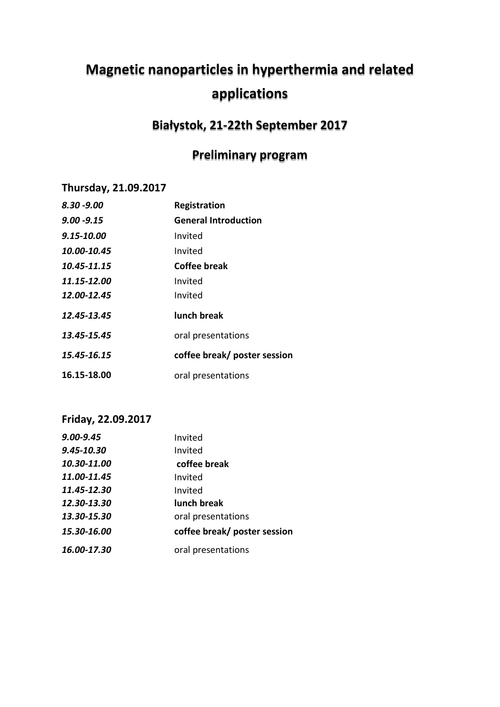# **Magnetic nanoparticles in hyperthermia and related applications**

## **Białystok, 21-22th September 2017**

# **Preliminary program**

### **Thursday, 21.09.2017**

| $8.30 - 9.00$  | Registration                 |
|----------------|------------------------------|
| $9.00 - 9.15$  | <b>General Introduction</b>  |
| $9.15 - 10.00$ | Invited                      |
| 10.00-10.45    | Invited                      |
| 10.45-11.15    | Coffee break                 |
| 11.15-12.00    | Invited                      |
| 12.00-12.45    | Invited                      |
| 12.45-13.45    | <b>lunch break</b>           |
| 13.45-15.45    | oral presentations           |
| 15.45-16.15    | coffee break/ poster session |
| 16.15-18.00    | oral presentations           |

### **Friday, 22.09.2017**

| 9.00-9.45   | Invited                      |
|-------------|------------------------------|
| 9.45-10.30  | Invited                      |
| 10.30-11.00 | coffee break                 |
| 11.00-11.45 | Invited                      |
| 11.45-12.30 | Invited                      |
| 12.30-13.30 | lunch break                  |
| 13.30-15.30 | oral presentations           |
| 15.30-16.00 | coffee break/ poster session |
| 16.00-17.30 | oral presentations           |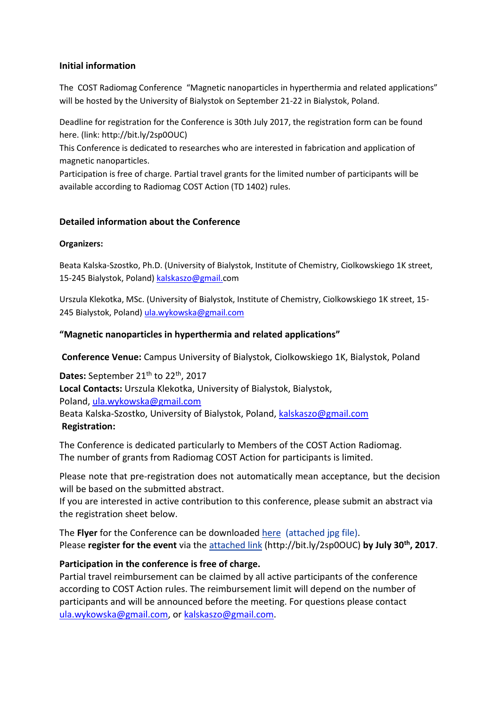#### **Initial information**

The COST Radiomag Conference "Magnetic nanoparticles in hyperthermia and related applications" will be hosted by the University of Bialystok on September 21-22 in Bialystok, Poland.

Deadline for registration for the Conference is 30th July 2017, the registration form can be found here. (link: http://bit.ly/2sp0OUC)

This Conference is dedicated to researches who are interested in fabrication and application of magnetic nanoparticles.

Participation is free of charge. Partial travel grants for the limited number of participants will be available according to Radiomag COST Action (TD 1402) rules.

#### **Detailed information about the Conference**

#### **Organizers:**

Beata Kalska-Szostko, Ph.D. (University of Bialystok, Institute of Chemistry, Ciolkowskiego 1K street, 15-245 Bialystok, Poland[\) kalskaszo@gmail.c](mailto:kalskaszo@gmail.)om

Urszula Klekotka, MSc. (University of Bialystok, Institute of Chemistry, Ciolkowskiego 1K street, 15- 245 Bialystok, Poland) [ula.wykowska@gmail.com](mailto:ula.wykowska@gmail.com)

#### **"Magnetic nanoparticles in hyperthermia and related applications"**

**Conference Venue:** Campus University of Bialystok, Ciolkowskiego 1K, Bialystok, Poland

Dates: September 21<sup>th</sup> to 22<sup>th</sup>, 2017 **Local Contacts:** Urszula Klekotka, University of Bialystok, Bialystok, Poland, [ula.wykowska@gmail.com](mailto:ula.wykowska@gmail.com) Beata Kalska-Szostko, University of Bialystok, Poland, [kalskaszo@gmail.com](mailto:kalskaszo@gmail.com) **Registration:**

The Conference is dedicated particularly to Members of the COST Action Radiomag. The number of grants from Radiomag COST Action for participants is limited.

Please note that pre-registration does not automatically mean acceptance, but the decision will be based on the submitted abstract.

If you are interested in active contribution to this conference, please submit an abstract via the registration sheet below.

The **Flyer** for the Conference can be downloaded [here](http://www.cost-nanospectroscopy.eu/fileadmin/download/2016_TPM_flyer.pdf) (attached jpg file). Please **register for the event** via the [attached link](http://www.cost-nanospectroscopy.eu/fileadmin/download/COST_MP1302_registration_abstract-template.doc) (http://bit.ly/2sp0OUC) **by July 30th, 2017**.

#### **Participation in the conference is free of charge.**

Partial travel reimbursement can be claimed by all active participants of the conference according to COST Action rules. The reimbursement limit will depend on the number of participants and will be announced before the meeting. For questions please contact [ula.wykowska@gmail.com,](mailto:ula.wykowska@gmail.com) or [kalskaszo@gmail.com.](mailto:kalskaszo@gmail.com)